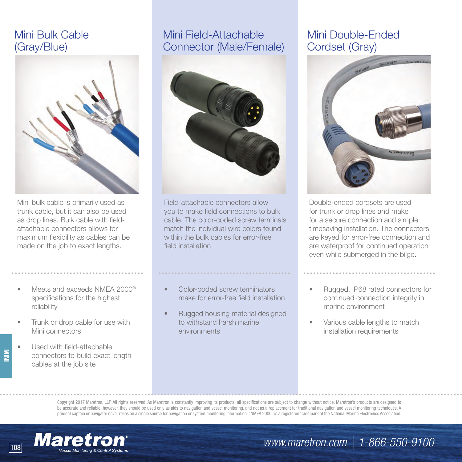# Mini Bulk Cable (Gray/Blue)



Mini bulk cable is primarily used as trunk cable, but it can also be used as drop lines. Bulk cable with fieldattachable connectors allows for maximum flexibility as cables can be made on the job to exact lengths.

- Meets and exceeds NMEA 2000<sup>®</sup> specifications for the highest reliability
- Trunk or drop cable for use with Mini connectors
- Used with field-attachable connectors to build exact length cables at the job site

**MINI**

# Mini Field-Attachable Connector (Male/Female)



Field-attachable connectors allow you to make field connections to bulk cable. The color-coded screw terminals match the individual wire colors found within the bulk cables for error-free field installation.

### • Color-coded screw terminators make for error-free field installation

• Rugged housing material designed to withstand harsh marine environments

# Mini Double-Ended Cordset (Gray)



Double-ended cordsets are used for trunk or drop lines and make for a secure connection and simple timesaving installation. The connectors are keyed for error-free connection and are waterproof for continued operation even while submerged in the bilge.

- Rugged, IP68 rated connectors for continued connection integrity in marine environment
- Various cable lengths to match installation requirements

Copyright 2017 Maretron, LLP. All rights reserved. As Maretron is constantly improving its products, all specifications are subject to change without notice. Maretron's products are designed to be accurate and reliable; however, they should be used only as aids to navigation and vessel monitoring, and not as a replacement for traditional navigation and vessel monitoring techniques. A prudent captain or navigator never relies on a single source for navigation or system monitoring information. "NMEA 2000" is a registered trademark of the National Marine Electronics Association